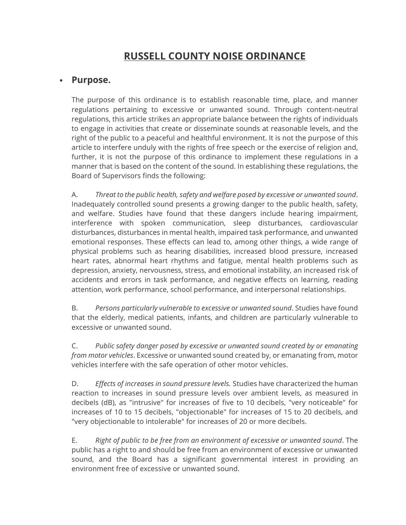# **RUSSELL COUNTY NOISE ORDINANCE**

# • **Purpose.**

The purpose of this ordinance is to establish reasonable time, place, and manner regulations pertaining to excessive or unwanted sound. Through content-neutral regulations, this article strikes an appropriate balance between the rights of individuals to engage in activities that create or disseminate sounds at reasonable levels, and the right of the public to a peaceful and healthful environment. It is not the purpose of this article to interfere unduly with the rights of free speech or the exercise of religion and, further, it is not the purpose of this ordinance to implement these regulations in a manner that is based on the content of the sound. In establishing these regulations, the Board of Supervisors finds the following:

A. *Threat to the public health, safety and welfare posed by excessive or unwanted sound*. Inadequately controlled sound presents a growing danger to the public health, safety, and welfare. Studies have found that these dangers include hearing impairment, interference with spoken communication, sleep disturbances, cardiovascular disturbances, disturbances in mental health, impaired task performance, and unwanted emotional responses. These effects can lead to, among other things, a wide range of physical problems such as hearing disabilities, increased blood pressure, increased heart rates, abnormal heart rhythms and fatigue, mental health problems such as depression, anxiety, nervousness, stress, and emotional instability, an increased risk of accidents and errors in task performance, and negative effects on learning, reading attention, work performance, school performance, and interpersonal relationships.

B. *Persons particularly vulnerable to excessive or unwanted sound*. Studies have found that the elderly, medical patients, infants, and children are particularly vulnerable to excessive or unwanted sound.

C. *Public safety danger posed by excessive or unwanted sound created by or emanating from motor vehicles*. Excessive or unwanted sound created by, or emanating from, motor vehicles interfere with the safe operation of other motor vehicles.

D. *Effects of increases in sound pressure levels.* Studies have characterized the human reaction to increases in sound pressure levels over ambient levels, as measured in decibels (dB), as "intrusive" for increases of five to 10 decibels, "very noticeable" for increases of 10 to 15 decibels, "objectionable" for increases of 15 to 20 decibels, and "very objectionable to intolerable" for increases of 20 or more decibels.

E. *Right of public to be free from an environment of excessive or unwanted sound*. The public has a right to and should be free from an environment of excessive or unwanted sound, and the Board has a significant governmental interest in providing an environment free of excessive or unwanted sound.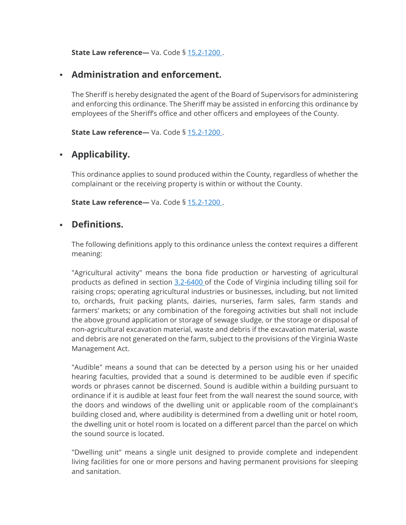**State Law reference—** Va. Code § [15.2-1200](about:blank) .

# • **Administration and enforcement.**

The Sheriff is hereby designated the agent of the Board of Supervisors for administering and enforcing this ordinance. The Sheriff may be assisted in enforcing this ordinance by employees of the Sheriff's office and other officers and employees of the County.

**State Law reference—** Va. Code § [15.2-1200](about:blank) .

# • **Applicability.**

This ordinance applies to sound produced within the County, regardless of whether the complainant or the receiving property is within or without the County.

**State Law reference**— Va. Code § [15.2-1200](about:blank).

# • **Definitions.**

The following definitions apply to this ordinance unless the context requires a different meaning:

"Agricultural activity" means the bona fide production or harvesting of agricultural products as defined in section [3.2-6400](about:blank) of the Code of Virginia including tilling soil for raising crops; operating agricultural industries or businesses, including, but not limited to, orchards, fruit packing plants, dairies, nurseries, farm sales, farm stands and farmers' markets; or any combination of the foregoing activities but shall not include the above ground application or storage of sewage sludge, or the storage or disposal of non-agricultural excavation material, waste and debris if the excavation material, waste and debris are not generated on the farm, subject to the provisions of the Virginia Waste Management Act.

"Audible" means a sound that can be detected by a person using his or her unaided hearing faculties, provided that a sound is determined to be audible even if specific words or phrases cannot be discerned. Sound is audible within a building pursuant to ordinance if it is audible at least four feet from the wall nearest the sound source, with the doors and windows of the dwelling unit or applicable room of the complainant's building closed and, where audibility is determined from a dwelling unit or hotel room, the dwelling unit or hotel room is located on a different parcel than the parcel on which the sound source is located.

"Dwelling unit" means a single unit designed to provide complete and independent living facilities for one or more persons and having permanent provisions for sleeping and sanitation.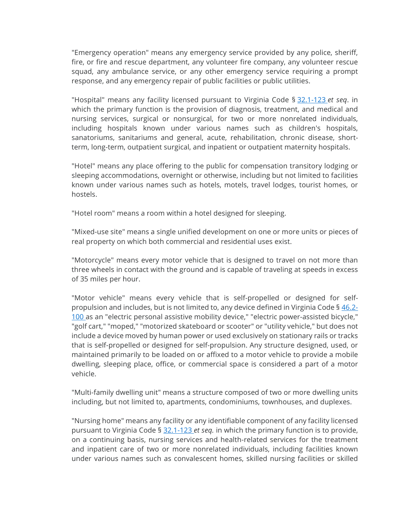"Emergency operation" means any emergency service provided by any police, sheriff, fire, or fire and rescue department, any volunteer fire company, any volunteer rescue squad, any ambulance service, or any other emergency service requiring a prompt response, and any emergency repair of public facilities or public utilities.

"Hospital" means any facility licensed pursuant to Virginia Code § [32.1-123](about:blank) *et seq*. in which the primary function is the provision of diagnosis, treatment, and medical and nursing services, surgical or nonsurgical, for two or more nonrelated individuals, including hospitals known under various names such as children's hospitals, sanatoriums, sanitariums and general, acute, rehabilitation, chronic disease, shortterm, long-term, outpatient surgical, and inpatient or outpatient maternity hospitals.

"Hotel" means any place offering to the public for compensation transitory lodging or sleeping accommodations, overnight or otherwise, including but not limited to facilities known under various names such as hotels, motels, travel lodges, tourist homes, or hostels.

"Hotel room" means a room within a hotel designed for sleeping.

"Mixed-use site" means a single unified development on one or more units or pieces of real property on which both commercial and residential uses exist.

"Motorcycle" means every motor vehicle that is designed to travel on not more than three wheels in contact with the ground and is capable of traveling at speeds in excess of 35 miles per hour.

"Motor vehicle" means every vehicle that is self-propelled or designed for selfpropulsion and includes, but is not limited to, any device defined in Virginia Code § [46.2-](about:blank) [100](about:blank) as an "electric personal assistive mobility device," "electric power-assisted bicycle," "golf cart," "moped," "motorized skateboard or scooter" or "utility vehicle," but does not include a device moved by human power or used exclusively on stationary rails or tracks that is self-propelled or designed for self-propulsion. Any structure designed, used, or maintained primarily to be loaded on or affixed to a motor vehicle to provide a mobile dwelling, sleeping place, office, or commercial space is considered a part of a motor vehicle.

"Multi-family dwelling unit" means a structure composed of two or more dwelling units including, but not limited to, apartments, condominiums, townhouses, and duplexes.

"Nursing home" means any facility or any identifiable component of any facility licensed pursuant to Virginia Code § [32.1-123](about:blank) *et seq.* in which the primary function is to provide, on a continuing basis, nursing services and health-related services for the treatment and inpatient care of two or more nonrelated individuals, including facilities known under various names such as convalescent homes, skilled nursing facilities or skilled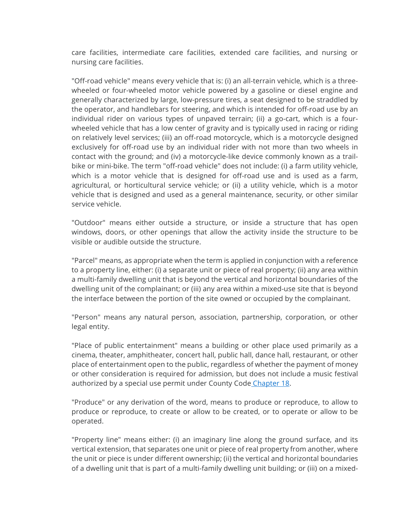care facilities, intermediate care facilities, extended care facilities, and nursing or nursing care facilities.

"Off-road vehicle" means every vehicle that is: (i) an all-terrain vehicle, which is a threewheeled or four-wheeled motor vehicle powered by a gasoline or diesel engine and generally characterized by large, low-pressure tires, a seat designed to be straddled by the operator, and handlebars for steering, and which is intended for off-road use by an individual rider on various types of unpaved terrain; (ii) a go-cart, which is a fourwheeled vehicle that has a low center of gravity and is typically used in racing or riding on relatively level services; (iii) an off-road motorcycle, which is a motorcycle designed exclusively for off-road use by an individual rider with not more than two wheels in contact with the ground; and (iv) a motorcycle-like device commonly known as a trailbike or mini-bike. The term "off-road vehicle" does not include: (i) a farm utility vehicle, which is a motor vehicle that is designed for off-road use and is used as a farm, agricultural, or horticultural service vehicle; or (ii) a utility vehicle, which is a motor vehicle that is designed and used as a general maintenance, security, or other similar service vehicle.

"Outdoor" means either outside a structure, or inside a structure that has open windows, doors, or other openings that allow the activity inside the structure to be visible or audible outside the structure.

"Parcel" means, as appropriate when the term is applied in conjunction with a reference to a property line, either: (i) a separate unit or piece of real property; (ii) any area within a multi-family dwelling unit that is beyond the vertical and horizontal boundaries of the dwelling unit of the complainant; or (iii) any area within a mixed-use site that is beyond the interface between the portion of the site owned or occupied by the complainant.

"Person" means any natural person, association, partnership, corporation, or other legal entity.

"Place of public entertainment" means a building or other place used primarily as a cinema, theater, amphitheater, concert hall, public hall, dance hall, restaurant, or other place of entertainment open to the public, regardless of whether the payment of money or other consideration is required for admission, but does not include a music festival authorized by a special use permit under County Code [Chapter 18.](about:blank)

"Produce" or any derivation of the word, means to produce or reproduce, to allow to produce or reproduce, to create or allow to be created, or to operate or allow to be operated.

"Property line" means either: (i) an imaginary line along the ground surface, and its vertical extension, that separates one unit or piece of real property from another, where the unit or piece is under different ownership; (ii) the vertical and horizontal boundaries of a dwelling unit that is part of a multi-family dwelling unit building; or (iii) on a mixed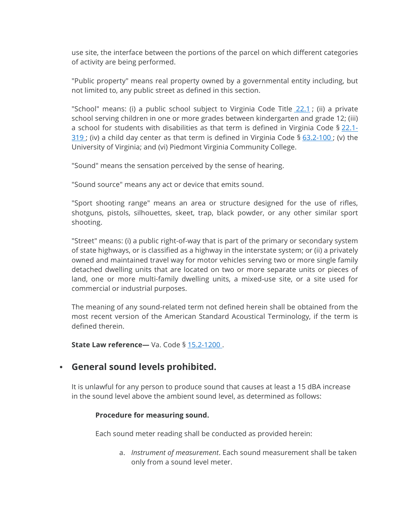use site, the interface between the portions of the parcel on which different categories of activity are being performed.

"Public property" means real property owned by a governmental entity including, but not limited to, any public street as defined in this section.

"School" means: (i) a public school subject to Virginia Code Title [22.1](about:blank); (ii) a private school serving children in one or more grades between kindergarten and grade 12; (iii) a school for students with disabilities as that term is defined in Virginia Code  $\S 22.1$ - $319$ ; (iv) a child day center as that term is defined in Virginia Code §  $63.2-100$ ; (v) the University of Virginia; and (vi) Piedmont Virginia Community College.

"Sound" means the sensation perceived by the sense of hearing.

"Sound source" means any act or device that emits sound.

"Sport shooting range" means an area or structure designed for the use of rifles, shotguns, pistols, silhouettes, skeet, trap, black powder, or any other similar sport shooting.

"Street" means: (i) a public right-of-way that is part of the primary or secondary system of state highways, or is classified as a highway in the interstate system; or (ii) a privately owned and maintained travel way for motor vehicles serving two or more single family detached dwelling units that are located on two or more separate units or pieces of land, one or more multi-family dwelling units, a mixed-use site, or a site used for commercial or industrial purposes.

The meaning of any sound-related term not defined herein shall be obtained from the most recent version of the American Standard Acoustical Terminology, if the term is defined therein.

**State Law reference—** Va. Code § [15.2-1200](about:blank) .

### • **General sound levels prohibited.**

It is unlawful for any person to produce sound that causes at least a 15 dBA increase in the sound level above the ambient sound level, as determined as follows:

#### **Procedure for measuring sound.**

Each sound meter reading shall be conducted as provided herein:

a. *Instrument of measurement*. Each sound measurement shall be taken only from a sound level meter.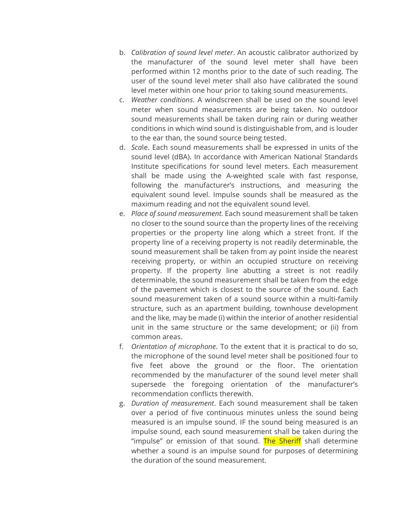- b. *Calibration of sound level meter*. An acoustic calibrator authorized by the manufacturer of the sound level meter shall have been performed within 12 months prior to the date of such reading. The user of the sound level meter shall also have calibrated the sound level meter within one hour prior to taking sound measurements.
- c. *Weather conditions*. A windscreen shall be used on the sound level meter when sound measurements are being taken. No outdoor sound measurements shall be taken during rain or during weather conditions in which wind sound is distinguishable from, and is louder to the ear than, the sound source being tested.
- d. *Sca*le. Each sound measurements shall be expressed in units of the sound level (dBA). In accordance with American National Standards Institute specifications for sound level meters. Each measurement shall be made using the A-weighted scale with fast response, following the manufacturer's instructions, and measuring the equivalent sound level. Impulse sounds shall be measured as the maximum reading and not the equivalent sound level.
- e. *Place of sound measurement.* Each sound measurement shall be taken no closer to the sound source than the property lines of the receiving properties or the property line along which a street front. If the property line of a receiving property is not readily determinable, the sound measurement shall be taken from ay point inside the nearest receiving property, or within an occupied structure on receiving property. If the property line abutting a street is not readily determinable, the sound measurement shall be taken from the edge of the pavement which is closest to the source of the sound. Each sound measurement taken of a sound source within a multi-family structure, such as an apartment building, townhouse development and the like, may be made (i) within the interior of another residential unit in the same structure or the same development; or (ii) from common areas.
- f. *Orientation of microphone*. To the extent that it is practical to do so, the microphone of the sound level meter shall be positioned four to five feet above the ground or the floor. The orientation recommended by the manufacturer of the sound level meter shall supersede the foregoing orientation of the manufacturer's recommendation conflicts therewith.
- g. *Duration of measurement*. Each sound measurement shall be taken over a period of five continuous minutes unless the sound being measured is an impulse sound. IF the sound being measured is an impulse sound, each sound measurement shall be taken during the "impulse" or emission of that sound. The Sheriff shall determine whether a sound is an impulse sound for purposes of determining the duration of the sound measurement.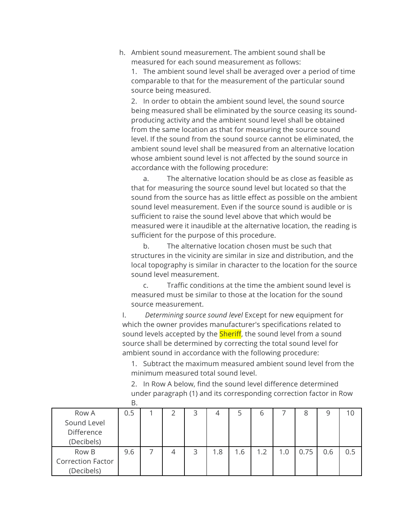h. Ambient sound measurement. The ambient sound shall be measured for each sound measurement as follows:

1. The ambient sound level shall be averaged over a period of time comparable to that for the measurement of the particular sound source being measured.

2. In order to obtain the ambient sound level, the sound source being measured shall be eliminated by the source ceasing its soundproducing activity and the ambient sound level shall be obtained from the same location as that for measuring the source sound level. If the sound from the sound source cannot be eliminated, the ambient sound level shall be measured from an alternative location whose ambient sound level is not affected by the sound source in accordance with the following procedure:

a. The alternative location should be as close as feasible as that for measuring the source sound level but located so that the sound from the source has as little effect as possible on the ambient sound level measurement. Even if the source sound is audible or is sufficient to raise the sound level above that which would be measured were it inaudible at the alternative location, the reading is sufficient for the purpose of this procedure.

b. The alternative location chosen must be such that structures in the vicinity are similar in size and distribution, and the local topography is similar in character to the location for the source sound level measurement.

c. Traffic conditions at the time the ambient sound level is measured must be similar to those at the location for the sound source measurement.

I. *Determining source sound level* Except for new equipment for which the owner provides manufacturer's specifications related to sound levels accepted by the **Sheriff**, the sound level from a sound source shall be determined by correcting the total sound level for ambient sound in accordance with the following procedure:

1. Subtract the maximum measured ambient sound level from the minimum measured total sound level.

2. In Row A below, find the sound level difference determined under paragraph (1) and its corresponding correction factor in Row B.

| Row A                    | 0.5 |  |   |      |     | ь   |     |      | 9   |     |
|--------------------------|-----|--|---|------|-----|-----|-----|------|-----|-----|
| Sound Level              |     |  |   |      |     |     |     |      |     |     |
| Difference               |     |  |   |      |     |     |     |      |     |     |
| (Decibels)               |     |  |   |      |     |     |     |      |     |     |
| Row B                    | 9.6 |  | 3 | 8. ا | 6.، | 1.2 | 1.0 | 0.75 | 0.6 | 0.5 |
| <b>Correction Factor</b> |     |  |   |      |     |     |     |      |     |     |
| (Decibels)               |     |  |   |      |     |     |     |      |     |     |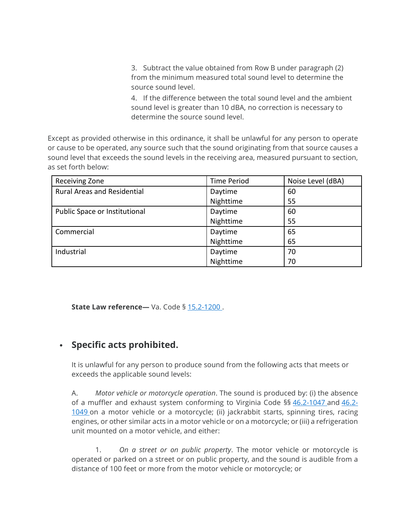3. Subtract the value obtained from Row B under paragraph (2) from the minimum measured total sound level to determine the source sound level.

4. If the difference between the total sound level and the ambient sound level is greater than 10 dBA, no correction is necessary to determine the source sound level.

Except as provided otherwise in this ordinance, it shall be unlawful for any person to operate or cause to be operated, any source such that the sound originating from that source causes a sound level that exceeds the sound levels in the receiving area, measured pursuant to section, as set forth below:

| Receiving Zone                     | <b>Time Period</b> | Noise Level (dBA) |  |
|------------------------------------|--------------------|-------------------|--|
| <b>Rural Areas and Residential</b> | Daytime            | 60                |  |
|                                    | Nighttime          | 55                |  |
| Public Space or Institutional      | Daytime            | 60                |  |
|                                    | Nighttime          | 55                |  |
| Commercial                         | Daytime            | 65                |  |
|                                    | Nighttime          | 65                |  |
| Industrial                         | Daytime            | 70                |  |
|                                    | Nighttime          | 70                |  |

**State Law reference**— Va. Code § [15.2-1200](about:blank).

# • **Specific acts prohibited.**

It is unlawful for any person to produce sound from the following acts that meets or exceeds the applicable sound levels:

A. *Motor vehicle or motorcycle operation*. The sound is produced by: (i) the absence of a muffler and exhaust system conforming to Virginia Code §§ [46.2-1047](about:blank) and [46.2-](about:blank) [1049](about:blank) on a motor vehicle or a motorcycle; (ii) jackrabbit starts, spinning tires, racing engines, or other similar acts in a motor vehicle or on a motorcycle; or (iii) a refrigeration unit mounted on a motor vehicle, and either:

1. *On a street or on public property*. The motor vehicle or motorcycle is operated or parked on a street or on public property, and the sound is audible from a distance of 100 feet or more from the motor vehicle or motorcycle; or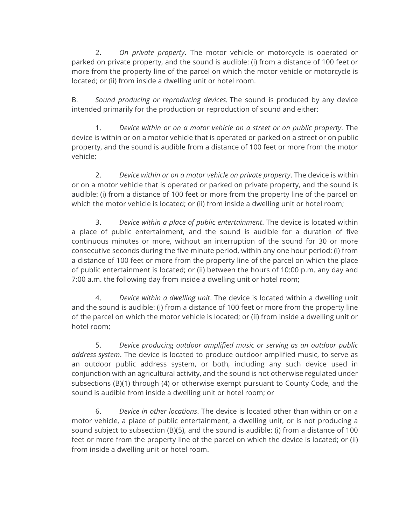2. *On private property*. The motor vehicle or motorcycle is operated or parked on private property, and the sound is audible: (i) from a distance of 100 feet or more from the property line of the parcel on which the motor vehicle or motorcycle is located; or (ii) from inside a dwelling unit or hotel room.

B. *Sound producing or reproducing devices.* The sound is produced by any device intended primarily for the production or reproduction of sound and either:

1. *Device within or on a motor vehicle on a street or on public property*. The device is within or on a motor vehicle that is operated or parked on a street or on public property, and the sound is audible from a distance of 100 feet or more from the motor vehicle;

2. *Device within or on a motor vehicle on private property*. The device is within or on a motor vehicle that is operated or parked on private property, and the sound is audible: (i) from a distance of 100 feet or more from the property line of the parcel on which the motor vehicle is located; or (ii) from inside a dwelling unit or hotel room;

3. *Device within a place of public entertainment*. The device is located within a place of public entertainment, and the sound is audible for a duration of five continuous minutes or more, without an interruption of the sound for 30 or more consecutive seconds during the five minute period, within any one hour period: (i) from a distance of 100 feet or more from the property line of the parcel on which the place of public entertainment is located; or (ii) between the hours of 10:00 p.m. any day and 7:00 a.m. the following day from inside a dwelling unit or hotel room;

4. *Device within a dwelling unit*. The device is located within a dwelling unit and the sound is audible: (i) from a distance of 100 feet or more from the property line of the parcel on which the motor vehicle is located; or (ii) from inside a dwelling unit or hotel room;

5. *Device producing outdoor amplified music or serving as an outdoor public address system*. The device is located to produce outdoor amplified music, to serve as an outdoor public address system, or both, including any such device used in conjunction with an agricultural activity, and the sound is not otherwise regulated under subsections (B)(1) through (4) or otherwise exempt pursuant to County Code, and the sound is audible from inside a dwelling unit or hotel room; or

6. *Device in other locations*. The device is located other than within or on a motor vehicle, a place of public entertainment, a dwelling unit, or is not producing a sound subject to subsection (B)(5), and the sound is audible: (i) from a distance of 100 feet or more from the property line of the parcel on which the device is located; or (ii) from inside a dwelling unit or hotel room.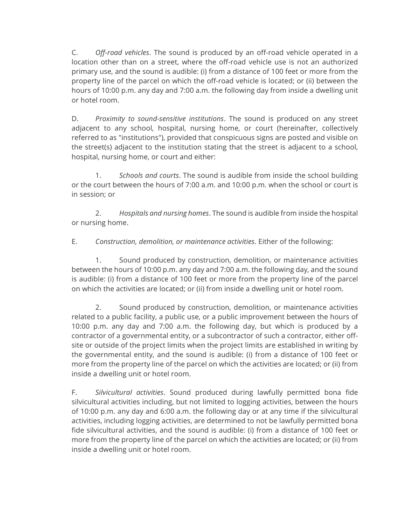C. *Off-road vehicles*. The sound is produced by an off-road vehicle operated in a location other than on a street, where the off-road vehicle use is not an authorized primary use, and the sound is audible: (i) from a distance of 100 feet or more from the property line of the parcel on which the off-road vehicle is located; or (ii) between the hours of 10:00 p.m. any day and 7:00 a.m. the following day from inside a dwelling unit or hotel room.

D. *Proximity to sound-sensitive institutions*. The sound is produced on any street adjacent to any school, hospital, nursing home, or court (hereinafter, collectively referred to as "institutions"), provided that conspicuous signs are posted and visible on the street(s) adjacent to the institution stating that the street is adjacent to a school, hospital, nursing home, or court and either:

1. *Schools and courts*. The sound is audible from inside the school building or the court between the hours of 7:00 a.m. and 10:00 p.m. when the school or court is in session; or

2. *Hospitals and nursing homes*. The sound is audible from inside the hospital or nursing home.

E. *Construction, demolition, or maintenance activities*. Either of the following:

1. Sound produced by construction, demolition, or maintenance activities between the hours of 10:00 p.m. any day and 7:00 a.m. the following day, and the sound is audible: (i) from a distance of 100 feet or more from the property line of the parcel on which the activities are located; or (ii) from inside a dwelling unit or hotel room.

2. Sound produced by construction, demolition, or maintenance activities related to a public facility, a public use, or a public improvement between the hours of 10:00 p.m. any day and 7:00 a.m. the following day, but which is produced by a contractor of a governmental entity, or a subcontractor of such a contractor, either offsite or outside of the project limits when the project limits are established in writing by the governmental entity, and the sound is audible: (i) from a distance of 100 feet or more from the property line of the parcel on which the activities are located; or (ii) from inside a dwelling unit or hotel room.

F. *Silvicultural activities*. Sound produced during lawfully permitted bona fide silvicultural activities including, but not limited to logging activities, between the hours of 10:00 p.m. any day and 6:00 a.m. the following day or at any time if the silvicultural activities, including logging activities, are determined to not be lawfully permitted bona fide silvicultural activities, and the sound is audible: (i) from a distance of 100 feet or more from the property line of the parcel on which the activities are located; or (ii) from inside a dwelling unit or hotel room.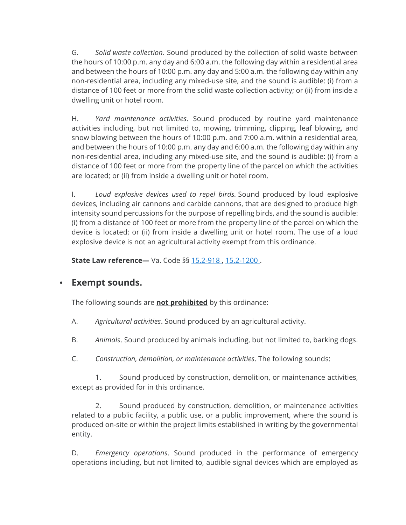G. *Solid waste collection*. Sound produced by the collection of solid waste between the hours of 10:00 p.m. any day and 6:00 a.m. the following day within a residential area and between the hours of 10:00 p.m. any day and 5:00 a.m. the following day within any non-residential area, including any mixed-use site, and the sound is audible: (i) from a distance of 100 feet or more from the solid waste collection activity; or (ii) from inside a dwelling unit or hotel room.

H. *Yard maintenance activities*. Sound produced by routine yard maintenance activities including, but not limited to, mowing, trimming, clipping, leaf blowing, and snow blowing between the hours of 10:00 p.m. and 7:00 a.m. within a residential area, and between the hours of 10:00 p.m. any day and 6:00 a.m. the following day within any non-residential area, including any mixed-use site, and the sound is audible: (i) from a distance of 100 feet or more from the property line of the parcel on which the activities are located; or (ii) from inside a dwelling unit or hotel room.

I. *Loud explosive devices used to repel birds.* Sound produced by loud explosive devices, including air cannons and carbide cannons, that are designed to produce high intensity sound percussions for the purpose of repelling birds, and the sound is audible: (i) from a distance of 100 feet or more from the property line of the parcel on which the device is located; or (ii) from inside a dwelling unit or hotel room. The use of a loud explosive device is not an agricultural activity exempt from this ordinance.

**State Law reference—** Va. Code §§ [15.2-918](about:blank) , [15.2-1200](about:blank) .

### • **Exempt sounds.**

The following sounds are **not prohibited** by this ordinance:

- A. *Agricultural activities*. Sound produced by an agricultural activity.
- B. *Animals*. Sound produced by animals including, but not limited to, barking dogs.
- C. *Construction, demolition, or maintenance activities*. The following sounds:

1. Sound produced by construction, demolition, or maintenance activities, except as provided for in this ordinance.

2. Sound produced by construction, demolition, or maintenance activities related to a public facility, a public use, or a public improvement, where the sound is produced on-site or within the project limits established in writing by the governmental entity.

D. *Emergency operations*. Sound produced in the performance of emergency operations including, but not limited to, audible signal devices which are employed as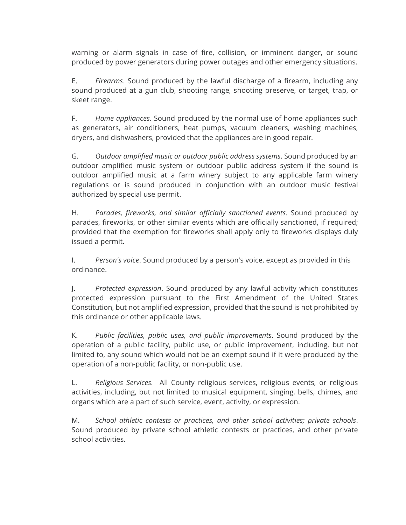warning or alarm signals in case of fire, collision, or imminent danger, or sound produced by power generators during power outages and other emergency situations.

E. *Firearms*. Sound produced by the lawful discharge of a firearm, including any sound produced at a gun club, shooting range, shooting preserve, or target, trap, or skeet range.

F. *Home appliances.* Sound produced by the normal use of home appliances such as generators, air conditioners, heat pumps, vacuum cleaners, washing machines, dryers, and dishwashers, provided that the appliances are in good repair*.*

G. *Outdoor amplified music or outdoor public address systems*. Sound produced by an outdoor amplified music system or outdoor public address system if the sound is outdoor amplified music at a farm winery subject to any applicable farm winery regulations or is sound produced in conjunction with an outdoor music festival authorized by special use permit.

H. *Parades, fireworks, and similar officially sanctioned events*. Sound produced by parades, fireworks, or other similar events which are officially sanctioned, if required; provided that the exemption for fireworks shall apply only to fireworks displays duly issued a permit.

I. *Person's voice*. Sound produced by a person's voice, except as provided in this ordinance.

J. *Protected expression*. Sound produced by any lawful activity which constitutes protected expression pursuant to the First Amendment of the United States Constitution, but not amplified expression, provided that the sound is not prohibited by this ordinance or other applicable laws.

K. *Public facilities, public uses, and public improvements*. Sound produced by the operation of a public facility, public use, or public improvement, including, but not limited to, any sound which would not be an exempt sound if it were produced by the operation of a non-public facility, or non-public use.

L. *Religious Services.* All County religious services, religious events, or religious activities, including, but not limited to musical equipment, singing, bells, chimes, and organs which are a part of such service, event, activity, or expression.

M. *School athletic contests or practices, and other school activities; private schools*. Sound produced by private school athletic contests or practices, and other private school activities.